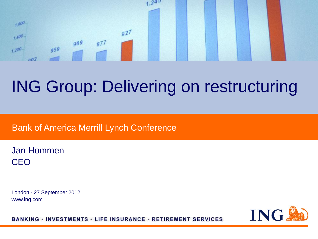

# ING Group: Delivering on restructuring

### Bank of America Merrill Lynch Conference

Jan Hommen CEO

London - 27 September 2012 www.ing.com



**BANKING - INVESTMENTS - LIFE INSURANCE - RETIREMENT SERVICES**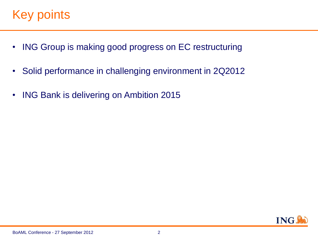### Key points.

- ING Group is making good progress on EC restructuring
- Solid performance in challenging environment in 2Q2012
- ING Bank is delivering on Ambition 2015

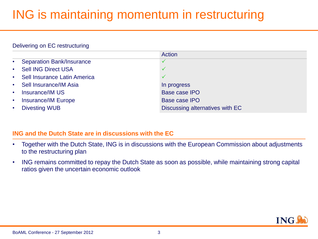## ING is maintaining momentum in restructuring

#### Delivering on EC restructuring

|                                     |                                  | Action                          |
|-------------------------------------|----------------------------------|---------------------------------|
| $\bullet$                           | <b>Separation Bank/Insurance</b> |                                 |
| $\bullet$ .<br><br><br><br><br><br> | <b>Sell ING Direct USA</b>       |                                 |
| $\bullet$ .                         | Sell Insurance Latin America     |                                 |
| $\bullet$ .                         | Sell Insurance/IM Asia           | In progress                     |
| $\bullet$                           | <b>Insurance/IM US</b>           | <b>Base case IPO</b>            |
| $\bullet$ .                         | <b>Insurance/IM Europe</b>       | <b>Base case IPO</b>            |
| $\bullet$                           | <b>Divesting WUB</b>             | Discussing alternatives with EC |

#### **ING and the Dutch State are in discussions with the EC**

- Together with the Dutch State, ING is in discussions with the European Commission about adjustments to the restructuring plan
- ING remains committed to repay the Dutch State as soon as possible, while maintaining strong capital ratios given the uncertain economic outlook

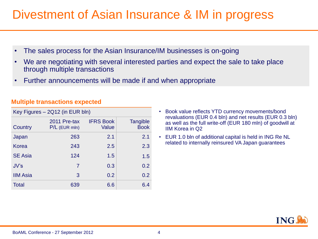### Divestment of Asian Insurance & IM in progress

- The sales process for the Asian Insurance/IM businesses is on-going
- We are negotiating with several interested parties and expect the sale to take place through multiple transactions
- Further announcements will be made if and when appropriate

| Key Figures - 2Q12 (in EUR bln) |                                 |                           |                         |  |  |  |  |  |
|---------------------------------|---------------------------------|---------------------------|-------------------------|--|--|--|--|--|
| Country                         | 2011 Pre-tax<br>$P/L$ (EUR mln) | <b>IFRS Book</b><br>Value | Tangible<br><b>Book</b> |  |  |  |  |  |
| Japan                           | 263                             | 2.1                       | 2.1                     |  |  |  |  |  |
| Korea                           | 243                             | 2.5                       | 2.3                     |  |  |  |  |  |
| <b>SE Asia</b>                  | 124                             | 1.5                       | 1.5                     |  |  |  |  |  |
| JV's                            | 7                               | 0.3                       | 0.2                     |  |  |  |  |  |
| <b>IIM Asia</b>                 | 3                               | 0.2                       | 0.2                     |  |  |  |  |  |
| <b>Total</b>                    | 639                             | 6.6                       | 6.4                     |  |  |  |  |  |

#### **Multiple transactions expected**

- Book value reflects YTD currency movements/bond revaluations (EUR 0.4 bln) and net results (EUR 0.3 bln) as well as the full write-off (EUR 180 mln) of goodwill at IIM Korea in Q2
- EUR 1.0 bln of additional capital is held in ING Re NL related to internally reinsured VA Japan guarantees

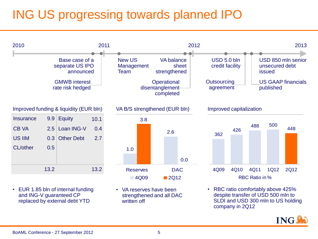# ING US progressing towards planned IPO

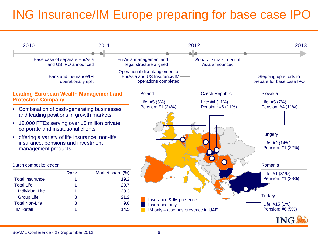# ING Insurance/IM Europe preparing for base case IPO

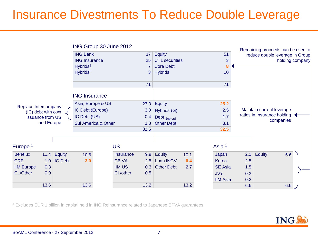### Insurance Divestments To Reduce Double Leverage

|                                                                              |      |                     | ING Group 30 June 2012      |  |                  |                   |                   |      |                   |      |     |                             | Remaining proceeds can be used to |  |  |
|------------------------------------------------------------------------------|------|---------------------|-----------------------------|--|------------------|-------------------|-------------------|------|-------------------|------|-----|-----------------------------|-----------------------------------|--|--|
|                                                                              |      |                     | <b>ING Bank</b>             |  |                  | 37                | <b>Equity</b>     |      |                   | 51   |     |                             | reduce double leverage in Group   |  |  |
|                                                                              |      |                     | <b>ING Insurance</b>        |  |                  | 25                | CT1 securities    |      |                   | 3    |     |                             | holding company                   |  |  |
|                                                                              |      |                     | <b>Hybrids</b> <sup>B</sup> |  |                  | 7                 | <b>Core Debt</b>  |      |                   | 8    |     |                             |                                   |  |  |
|                                                                              |      |                     | Hybrids <sup>1</sup>        |  |                  | 3                 | <b>Hybrids</b>    |      |                   | 10   |     |                             |                                   |  |  |
|                                                                              |      |                     |                             |  |                  | 71                |                   |      |                   | 71   |     |                             |                                   |  |  |
|                                                                              |      |                     | <b>ING Insurance</b>        |  |                  |                   |                   |      |                   |      |     |                             |                                   |  |  |
|                                                                              |      |                     | Asia, Europe & US           |  |                  | 27.3              | <b>Equity</b>     | 25.2 |                   |      |     |                             |                                   |  |  |
| Replace Intercompany<br>(IC) debt with own<br>issuance from US<br>and Europe |      |                     | IC Debt (Europe)            |  |                  | 3.0               | Hybrids (G)       |      |                   | 2.5  |     | Maintain current leverage   |                                   |  |  |
|                                                                              |      |                     | IC Debt (US)                |  |                  | 0.4               | Debt Sub ord      |      |                   | 1.7  |     | ratios in Insurance holding |                                   |  |  |
|                                                                              |      | Sul America & Other |                             |  | 1.8              | <b>Other Debt</b> |                   |      | 3.1               |      |     | companies                   |                                   |  |  |
|                                                                              |      |                     |                             |  |                  | 32.5              |                   |      |                   | 32.5 |     |                             |                                   |  |  |
|                                                                              |      |                     |                             |  |                  |                   |                   |      |                   |      |     |                             |                                   |  |  |
|                                                                              |      |                     |                             |  |                  |                   |                   |      |                   |      |     |                             |                                   |  |  |
| Europe <sup>1</sup>                                                          |      |                     |                             |  | <b>US</b>        |                   |                   |      | Asia <sup>1</sup> |      |     |                             |                                   |  |  |
| <b>Benelux</b>                                                               | 11.4 | Equity              | 10.6                        |  | <b>Insurance</b> | 9.9               | Equity            | 10.1 | Japan             |      | 2.1 | <b>Equity</b>               | 6.6                               |  |  |
| <b>CRE</b>                                                                   | 1.0  | IC Debt             | 3.0                         |  | <b>CB VA</b>     | 2.5               | Loan INGV         | 0.4  | Korea             |      | 2.5 |                             |                                   |  |  |
| <b>IIM Europe</b>                                                            | 0.3  |                     |                             |  | <b>IIM US</b>    | 0.3               | <b>Other Debt</b> | 2.7  | <b>SE Asia</b>    |      | 1.5 |                             |                                   |  |  |
| <b>CL/Other</b>                                                              | 0.9  |                     |                             |  | CL/other         | 0.5               |                   |      | JV's              |      | 0.3 |                             |                                   |  |  |
|                                                                              |      |                     |                             |  |                  |                   |                   |      | <b>IIM Asia</b>   |      | 0.2 |                             |                                   |  |  |
|                                                                              | 13.6 |                     | 13.6                        |  |                  | 13.2              |                   | 13.2 |                   |      | 6.6 |                             | 6.6                               |  |  |

<sup>1</sup> Excludes EUR 1 billion in capital held in ING Reinsurance related to Japanese SPVA guarantees

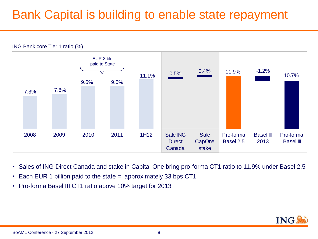### Bank Capital is building to enable state repayment



- Sales of ING Direct Canada and stake in Capital One bring pro-forma CT1 ratio to 11.9% under Basel 2.5
- Each EUR 1 billion paid to the state = approximately 33 bps CT1
- Pro-forma Basel III CT1 ratio above 10% target for 2013

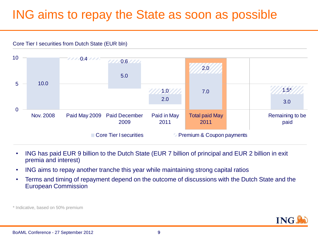### ING aims to repay the State as soon as possible

Core Tier I securities from Dutch State (EUR bln)



- ING has paid EUR 9 billion to the Dutch State (EUR 7 billion of principal and EUR 2 billion in exit premia and interest)
- ING aims to repay another tranche this year while maintaining strong capital ratios
- Terms and timing of repayment depend on the outcome of discussions with the Dutch State and the European Commission

\* Indicative, based on 50% premium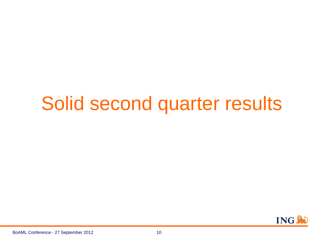# Solid second quarter results

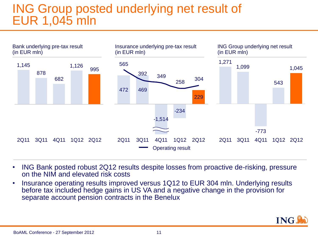### ING Group posted underlying net result of EUR 1,045 mln



- ING Bank posted robust 2Q12 results despite losses from proactive de-risking, pressure on the NIM and elevated risk costs
- Insurance operating results improved versus 1Q12 to EUR 304 mln. Underlying results before tax included hedge gains in US VA and a negative change in the provision for separate account pension contracts in the Benelux

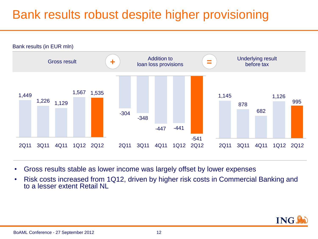## Bank results robust despite higher provisioning



- Gross results stable as lower income was largely offset by lower expenses
- Risk costs increased from 1Q12, driven by higher risk costs in Commercial Banking and to a lesser extent Retail NI

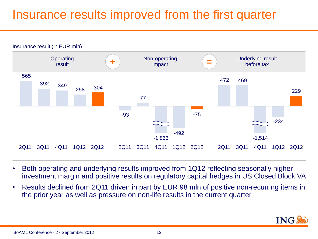### Insurance results improved from the first quarter



- Both operating and underlying results improved from 1Q12 reflecting seasonally higher investment margin and positive results on regulatory capital hedges in US Closed Block VA
- Results declined from 2Q11 driven in part by EUR 98 mln of positive non-recurring items in the prior year as well as pressure on non-life results in the current quarter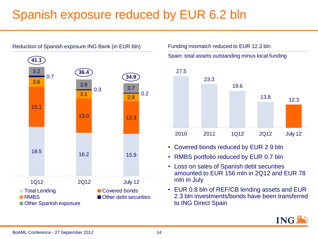## Spanish exposure reduced by EUR 6.2 bln



Funding mismatch reduced to EUR 12.3 bln

Spain: total assets outstanding minus local funding



- Covered bonds reduced by EUR 2.9 bln
- RMBS portfolio reduced by EUR 0.7 bln
- Loss on sales of Spanish debt securities amounted to EUR 156 mln in 2Q12 and EUR 78 mln in July
- EUR 0.8 bln of REF/CB lending assets and EUR 2.3 bln investments/bonds have been transferred to ING Direct Spain

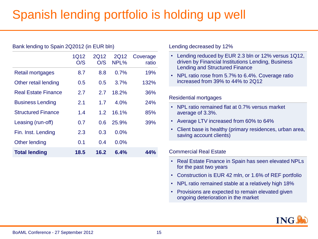# Spanish lending portfolio is holding up well

#### Bank lending to Spain 2Q2012 (in EUR bln)

|                            | 1Q12<br>O/S | 2Q12<br>O/S      | 2Q12<br>NPL% | Coverage<br>ratio |
|----------------------------|-------------|------------------|--------------|-------------------|
| Retail mortgages           | 8.7         | 8.8              | 0.7%         | 19%               |
| Other retail lending       | 0.5         | 0.5              | 3.7%         | 132%              |
| <b>Real Estate Finance</b> | 2.7         | 2.7              | 18.2%        | 36%               |
| <b>Business Lending</b>    | 2.1         | 1.7              | 4.0%         | 24%               |
| <b>Structured Finance</b>  | 1.4         | 1.2 <sub>1</sub> | 16.1%        | 85%               |
| Leasing (run-off)          | 0.7         | 0.6              | 25.9%        | 39%               |
| Fin. Inst. Lending         | 2.3         | 0.3              | 0.0%         |                   |
| Other lending              | 0.1         | 0.4              | 0.0%         |                   |
| <b>Total lending</b>       | 18.5        | 16.2             | 6.4%         | 44%               |

Lending decreased by 12%

- Lending reduced by EUR 2.3 bln or 12% versus 1Q12, driven by Financial Institutions Lending, Business Lending and Structured Finance
- NPL ratio rose from 5.7% to 6.4%. Coverage ratio increased from 39% to 44% to 2Q12

#### Residential mortgages

- NPL ratio remained flat at 0.7% versus market average of 3.3%.
- Average LTV increased from 60% to 64%
- Client base is healthy (primary residences, urban area, saving account clients)

Commercial Real Estate

- Real Estate Finance in Spain has seen elevated NPLs for the past two years
- Construction is EUR 42 mln, or 1.6% of REF portfolio
- NPL ratio remained stable at a relatively high 18%
- Provisions are expected to remain elevated given ongoing deterioration in the market

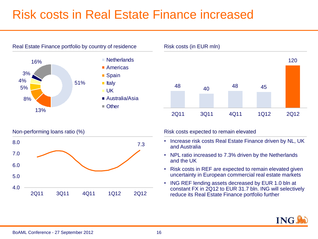### Risk costs in Real Estate Finance increased









Non-performing loans ratio (%) expected to remain elevated to remain elevated to remain elevated

- Increase risk costs Real Estate Finance driven by NL, UK and Australia
- NPL ratio increased to 7.3% driven by the Netherlands and the UK
- Risk costs in REF are expected to remain elevated given uncertainty in European commercial real estate markets
- ING REF lending assets decreased by EUR 1.0 bln at constant FX in 2Q12 to EUR 31.7 bln. ING will selectively reduce its Real Estate Finance portfolio further

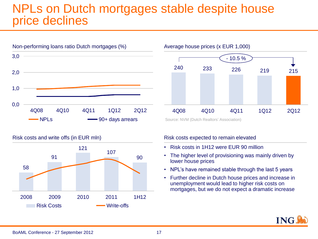### NPLs on Dutch mortgages stable despite house price declines







Source: NVM (Dutch Realtors' Association)

#### Risk costs expected to remain elevated

- Risk costs in 1H12 were EUR 90 million
- The higher level of provisioning was mainly driven by lower house prices
- NPL's have remained stable through the last 5 years
- Further decline in Dutch house prices and increase in unemployment would lead to higher risk costs on mortgages, but we do not expect a dramatic increase

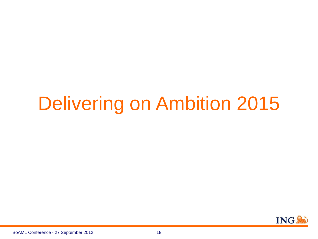# Delivering on Ambition 2015

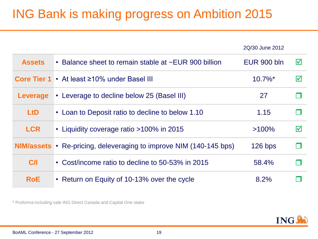# ING Bank is making progress on Ambition 2015

|               |                                                       | 2Q/30 June 2012       |                 |
|---------------|-------------------------------------------------------|-----------------------|-----------------|
| <b>Assets</b> | • Balance sheet to remain stable at ~EUR 900 billion  | <b>EUR 900 bln</b>    | $\triangledown$ |
|               | Core Tier 1 • At least ≥10% under Basel III           | $10.7\%$ <sup>*</sup> | $\triangledown$ |
| Leverage      | • Leverage to decline below 25 (Basel III)            | 27                    |                 |
| <b>LtD</b>    | • Loan to Deposit ratio to decline to below 1.10      | 1.15                  |                 |
| <b>LCR</b>    | • Liquidity coverage ratio >100% in 2015              | $>100\%$              | $\triangledown$ |
| NIM/assets •  | Re-pricing, deleveraging to improve NIM (140-145 bps) | $126$ bps             |                 |
| C/I           | • Cost/income ratio to decline to 50-53% in 2015      | 58.4%                 |                 |
| <b>RoE</b>    | • Return on Equity of 10-13% over the cycle           | 8.2%                  |                 |

\* Proforma including sale ING Direct Canada and Capital One stake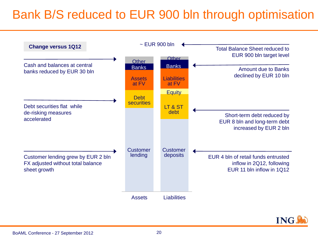## Bank B/S reduced to EUR 900 bln through optimisation



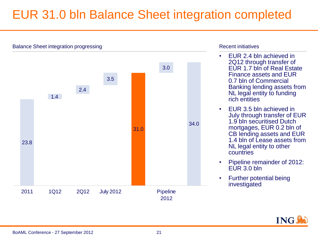### EUR 31.0 bln Balance Sheet integration completed



#### Recent initiatives

- EUR 2.4 bln achieved in 2Q12 through transfer of EUR 1.7 bln of Real Estate Finance assets and EUR 0.7 bln of Commercial Banking lending assets from NL legal entity to funding rich entities
- EUR 3.5 bln achieved in July through transfer of EUR 1.9 bln securitised Dutch mortgages, EUR 0.2 bln of CB lending assets and EUR 1.4 bln of Lease assets from NL legal entity to other countries
- Pipeline remainder of 2012: EUR 3.0 bln
- Further potential being investigated

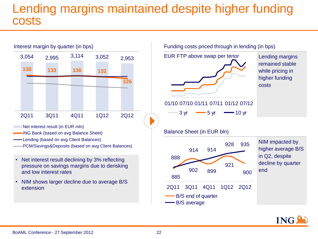### Lending margins maintained despite higher funding costs



- Net interest result (in EUR mln)
- ING Bank (based on avg Balance Sheet)
- Lending (based on avg Client Balances)
- PCM/Savings&Deposits (based on avg Client Balances)
- Net interest result declining by 3% reflecting pressure on savings margins due to derisking and low interest rates
- NIM shows larger decline due to average B/S extension

Funding costs priced through in lending (in bps)



remained stable while pricing in higher funding costs

01/10 07/10 01/11 07/11 01/12 07/12

$$
-3 \text{ yr} \longrightarrow 5 \text{ yr} \longrightarrow 10 \text{ yr}
$$

Balance Sheet (in EUR bln)



NIM impacted by higher average B/S in Q2, despite decline by quarter end

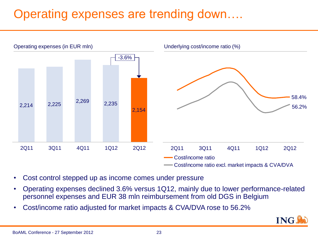# Operating expenses are trending down….



- Cost control stepped up as income comes under pressure
- Operating expenses declined 3.6% versus 1Q12, mainly due to lower performance-related personnel expenses and EUR 38 mln reimbursement from old DGS in Belgium
- Cost/income ratio adjusted for market impacts & CVA/DVA rose to 56.2%

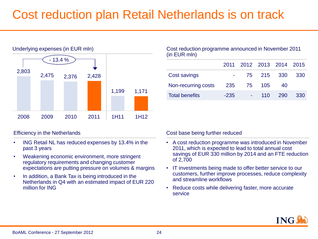### Cost reduction plan Retail Netherlands is on track



#### Efficiency in the Netherlands

- ING Retail NL has reduced expenses by 13.4% in the past 3 years
- Weakening economic environment, more stringent regulatory requirements and changing customer expectations are putting pressure on volumes & margins
- In addition, a Bank Tax is being introduced in the Netherlands in Q4 with an estimated impact of EUR 220 million for ING

#### Cost reduction programme announced in November 2011 (in EUR mln)

|                       |        | 2011 2012 2013 2014 2015 |            |       |      |
|-----------------------|--------|--------------------------|------------|-------|------|
| Cost savings          |        |                          | 75 215 330 |       | -330 |
| Non-recurring costs   | 235    |                          | 75 105     | 40    |      |
| <b>Total benefits</b> | $-235$ |                          | 110        | - 290 | 330  |

#### Cost base being further reduced

- A cost reduction programme was introduced in November 2011, which is expected to lead to total annual cost savings of EUR 330 million by 2014 and an FTE reduction of 2,700
- IT investments being made to offer better service to our customers, further improve processes, reduce complexity and streamline workflows
- Reduce costs while delivering faster, more accurate service

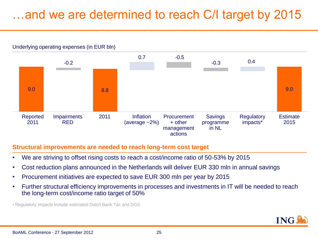## …and we are determined to reach C/I target by 2015





#### **Structural improvements are needed to reach long-term cost target**

- We are striving to offset rising costs to reach a cost/income ratio of 50-53% by 2015
- Cost reduction plans announced in the Netherlands will deliver EUR 330 mln in annual savings
- Procurement initiatives are expected to save EUR 300 mln per year by 2015
- Further structural efficiency improvements in processes and investments in IT will be needed to reach the long-term cost/income ratio target of 50%

• Regulatory impacts include estimated Dutch Bank Tax and DGS

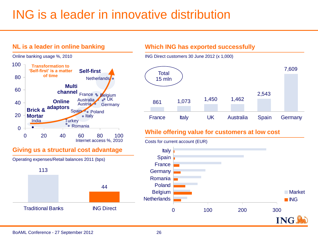### ING is a leader in innovative distribution



#### BoAML Conference - 27 September 2012 26

2,543

7,609

Market **ING** 

**ING**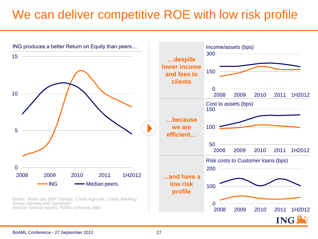### We can deliver competitive ROE with low risk profile

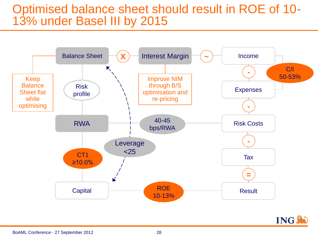### Optimised balance sheet should result in ROE of 10- 13% under Basel III by 2015



**ING!**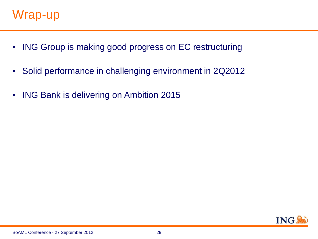- ING Group is making good progress on EC restructuring
- Solid performance in challenging environment in 2Q2012
- ING Bank is delivering on Ambition 2015